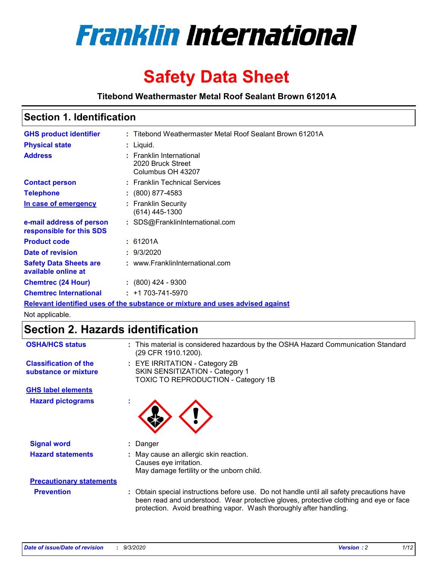

# **Safety Data Sheet**

**Titebond Weathermaster Metal Roof Sealant Brown 61201A**

### **Section 1. Identification**

| <b>GHS product identifier</b>                                                 |  | : Titebond Weathermaster Metal Roof Sealant Brown 61201A           |  |
|-------------------------------------------------------------------------------|--|--------------------------------------------------------------------|--|
| <b>Physical state</b>                                                         |  | : Liquid.                                                          |  |
| <b>Address</b>                                                                |  | : Franklin International<br>2020 Bruck Street<br>Columbus OH 43207 |  |
| <b>Contact person</b>                                                         |  | : Franklin Technical Services                                      |  |
| <b>Telephone</b>                                                              |  | $\div$ (800) 877-4583                                              |  |
| In case of emergency                                                          |  | : Franklin Security<br>(614) 445-1300                              |  |
| e-mail address of person<br>responsible for this SDS                          |  | : SDS@FranklinInternational.com                                    |  |
| <b>Product code</b>                                                           |  | : 61201A                                                           |  |
| Date of revision                                                              |  | : 9/3/2020                                                         |  |
| <b>Safety Data Sheets are</b><br>available online at                          |  | : www.FranklinInternational.com                                    |  |
| <b>Chemtrec (24 Hour)</b>                                                     |  | $: (800)$ 424 - 9300                                               |  |
| <b>Chemtrec International</b>                                                 |  | $: +1703 - 741 - 5970$                                             |  |
| Relevant identified uses of the substance or mixture and uses advised against |  |                                                                    |  |

Not applicable.

## **Section 2. Hazards identification**

| <b>OSHA/HCS status</b>                               |    | : This material is considered hazardous by the OSHA Hazard Communication Standard<br>(29 CFR 1910.1200).                                                                                                                                                 |
|------------------------------------------------------|----|----------------------------------------------------------------------------------------------------------------------------------------------------------------------------------------------------------------------------------------------------------|
| <b>Classification of the</b><br>substance or mixture |    | : EYE IRRITATION - Category 2B<br>SKIN SENSITIZATION - Category 1<br>TOXIC TO REPRODUCTION - Category 1B                                                                                                                                                 |
| <b>GHS label elements</b>                            |    |                                                                                                                                                                                                                                                          |
| <b>Hazard pictograms</b>                             | ×. |                                                                                                                                                                                                                                                          |
| <b>Signal word</b>                                   | ÷. | Danger                                                                                                                                                                                                                                                   |
| <b>Hazard statements</b>                             |    | May cause an allergic skin reaction.<br>Causes eye irritation.<br>May damage fertility or the unborn child.                                                                                                                                              |
| <b>Precautionary statements</b>                      |    |                                                                                                                                                                                                                                                          |
| <b>Prevention</b>                                    |    | : Obtain special instructions before use. Do not handle until all safety precautions have<br>been read and understood. Wear protective gloves, protective clothing and eye or face<br>protection. Avoid breathing vapor. Wash thoroughly after handling. |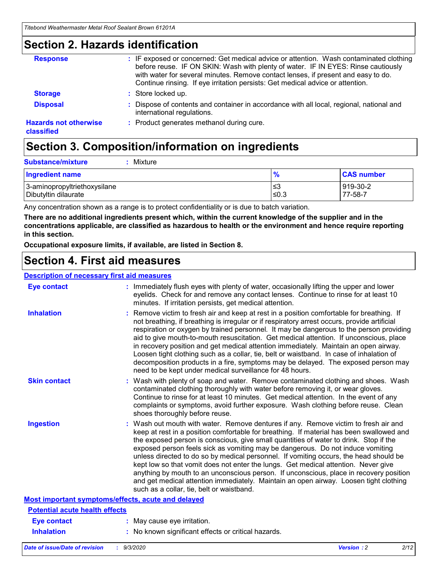### **Section 2. Hazards identification**

| <b>Response</b>                            | : IF exposed or concerned: Get medical advice or attention. Wash contaminated clothing<br>before reuse. IF ON SKIN: Wash with plenty of water. IF IN EYES: Rinse cautiously<br>with water for several minutes. Remove contact lenses, if present and easy to do.<br>Continue rinsing. If eye irritation persists: Get medical advice or attention. |
|--------------------------------------------|----------------------------------------------------------------------------------------------------------------------------------------------------------------------------------------------------------------------------------------------------------------------------------------------------------------------------------------------------|
| <b>Storage</b>                             | : Store locked up.                                                                                                                                                                                                                                                                                                                                 |
| <b>Disposal</b>                            | : Dispose of contents and container in accordance with all local, regional, national and<br>international regulations.                                                                                                                                                                                                                             |
| <b>Hazards not otherwise</b><br>classified | : Product generates methanol during cure.                                                                                                                                                                                                                                                                                                          |

# **Section 3. Composition/information on ingredients**

| <b>Substance/mixture</b> | Mixture |
|--------------------------|---------|
|                          |         |

| <b>Ingredient name</b>       | $\frac{9}{6}$ | <b>CAS number</b> |
|------------------------------|---------------|-------------------|
| 3-aminopropyltriethoxysilane | ՝≤3           | 919-30-2          |
| Dibutyltin dilaurate         | ∣≤0.3         | 77-58-7           |

Any concentration shown as a range is to protect confidentiality or is due to batch variation.

**There are no additional ingredients present which, within the current knowledge of the supplier and in the concentrations applicable, are classified as hazardous to health or the environment and hence require reporting in this section.**

**Occupational exposure limits, if available, are listed in Section 8.**

### **Section 4. First aid measures**

| <b>Description of necessary first aid measures</b> |                                                                                                                                                                                                                                                                                                                                                                                                                                                                                                                                                                                                                                                                                                                                                                           |
|----------------------------------------------------|---------------------------------------------------------------------------------------------------------------------------------------------------------------------------------------------------------------------------------------------------------------------------------------------------------------------------------------------------------------------------------------------------------------------------------------------------------------------------------------------------------------------------------------------------------------------------------------------------------------------------------------------------------------------------------------------------------------------------------------------------------------------------|
| <b>Eye contact</b>                                 | : Immediately flush eyes with plenty of water, occasionally lifting the upper and lower<br>eyelids. Check for and remove any contact lenses. Continue to rinse for at least 10<br>minutes. If irritation persists, get medical attention.                                                                                                                                                                                                                                                                                                                                                                                                                                                                                                                                 |
| <b>Inhalation</b>                                  | : Remove victim to fresh air and keep at rest in a position comfortable for breathing. If<br>not breathing, if breathing is irregular or if respiratory arrest occurs, provide artificial<br>respiration or oxygen by trained personnel. It may be dangerous to the person providing<br>aid to give mouth-to-mouth resuscitation. Get medical attention. If unconscious, place<br>in recovery position and get medical attention immediately. Maintain an open airway.<br>Loosen tight clothing such as a collar, tie, belt or waistband. In case of inhalation of<br>decomposition products in a fire, symptoms may be delayed. The exposed person may<br>need to be kept under medical surveillance for 48 hours.                                                       |
| <b>Skin contact</b>                                | : Wash with plenty of soap and water. Remove contaminated clothing and shoes. Wash<br>contaminated clothing thoroughly with water before removing it, or wear gloves.<br>Continue to rinse for at least 10 minutes. Get medical attention. In the event of any<br>complaints or symptoms, avoid further exposure. Wash clothing before reuse. Clean<br>shoes thoroughly before reuse.                                                                                                                                                                                                                                                                                                                                                                                     |
| <b>Ingestion</b>                                   | : Wash out mouth with water. Remove dentures if any. Remove victim to fresh air and<br>keep at rest in a position comfortable for breathing. If material has been swallowed and<br>the exposed person is conscious, give small quantities of water to drink. Stop if the<br>exposed person feels sick as vomiting may be dangerous. Do not induce vomiting<br>unless directed to do so by medical personnel. If vomiting occurs, the head should be<br>kept low so that vomit does not enter the lungs. Get medical attention. Never give<br>anything by mouth to an unconscious person. If unconscious, place in recovery position<br>and get medical attention immediately. Maintain an open airway. Loosen tight clothing<br>such as a collar, tie, belt or waistband. |
| Most important symptoms/effects, acute and delayed |                                                                                                                                                                                                                                                                                                                                                                                                                                                                                                                                                                                                                                                                                                                                                                           |
| <b>Potential acute health effects</b>              |                                                                                                                                                                                                                                                                                                                                                                                                                                                                                                                                                                                                                                                                                                                                                                           |
| <b>Eye contact</b>                                 | : May cause eye irritation.                                                                                                                                                                                                                                                                                                                                                                                                                                                                                                                                                                                                                                                                                                                                               |
| <b>Inhalation</b>                                  | : No known significant effects or critical hazards.                                                                                                                                                                                                                                                                                                                                                                                                                                                                                                                                                                                                                                                                                                                       |
|                                                    |                                                                                                                                                                                                                                                                                                                                                                                                                                                                                                                                                                                                                                                                                                                                                                           |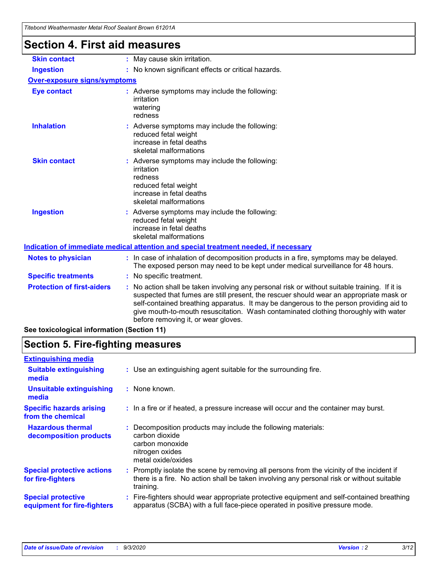| Titebond Weathermaster Metal Roof Sealant Brown 61201A |                                                                                                                                                                                                                                                                                                                                                                                                                 |
|--------------------------------------------------------|-----------------------------------------------------------------------------------------------------------------------------------------------------------------------------------------------------------------------------------------------------------------------------------------------------------------------------------------------------------------------------------------------------------------|
| <b>Section 4. First aid measures</b>                   |                                                                                                                                                                                                                                                                                                                                                                                                                 |
| <b>Skin contact</b>                                    | : May cause skin irritation.                                                                                                                                                                                                                                                                                                                                                                                    |
| <b>Ingestion</b>                                       | : No known significant effects or critical hazards.                                                                                                                                                                                                                                                                                                                                                             |
| <b>Over-exposure signs/symptoms</b>                    |                                                                                                                                                                                                                                                                                                                                                                                                                 |
| <b>Eye contact</b>                                     | : Adverse symptoms may include the following:<br>irritation<br>watering<br>redness                                                                                                                                                                                                                                                                                                                              |
| <b>Inhalation</b>                                      | : Adverse symptoms may include the following:<br>reduced fetal weight<br>increase in fetal deaths<br>skeletal malformations                                                                                                                                                                                                                                                                                     |
| <b>Skin contact</b>                                    | : Adverse symptoms may include the following:<br>irritation<br>redness<br>reduced fetal weight<br>increase in fetal deaths<br>skeletal malformations                                                                                                                                                                                                                                                            |
| <b>Ingestion</b>                                       | : Adverse symptoms may include the following:<br>reduced fetal weight<br>increase in fetal deaths<br>skeletal malformations                                                                                                                                                                                                                                                                                     |
|                                                        | Indication of immediate medical attention and special treatment needed, if necessary                                                                                                                                                                                                                                                                                                                            |
| <b>Notes to physician</b>                              | : In case of inhalation of decomposition products in a fire, symptoms may be delayed.<br>The exposed person may need to be kept under medical surveillance for 48 hours.                                                                                                                                                                                                                                        |
| <b>Specific treatments</b>                             | : No specific treatment.                                                                                                                                                                                                                                                                                                                                                                                        |
| <b>Protection of first-aiders</b>                      | : No action shall be taken involving any personal risk or without suitable training. If it is<br>suspected that fumes are still present, the rescuer should wear an appropriate mask or<br>self-contained breathing apparatus. It may be dangerous to the person providing aid to<br>give mouth-to-mouth resuscitation. Wash contaminated clothing thoroughly with water<br>before removing it, or wear gloves. |
| See toxicological information (Section 11)             |                                                                                                                                                                                                                                                                                                                                                                                                                 |

# **Section 5. Fire-fighting measures**

| <b>Extinguishing media</b>                               |                                                                                                                                                                                                     |
|----------------------------------------------------------|-----------------------------------------------------------------------------------------------------------------------------------------------------------------------------------------------------|
| <b>Suitable extinguishing</b><br>media                   | : Use an extinguishing agent suitable for the surrounding fire.                                                                                                                                     |
| <b>Unsuitable extinguishing</b><br>media                 | : None known.                                                                                                                                                                                       |
| <b>Specific hazards arising</b><br>from the chemical     | : In a fire or if heated, a pressure increase will occur and the container may burst.                                                                                                               |
| <b>Hazardous thermal</b><br>decomposition products       | : Decomposition products may include the following materials:<br>carbon dioxide<br>carbon monoxide<br>nitrogen oxides<br>metal oxide/oxides                                                         |
| <b>Special protective actions</b><br>for fire-fighters   | : Promptly isolate the scene by removing all persons from the vicinity of the incident if<br>there is a fire. No action shall be taken involving any personal risk or without suitable<br>training. |
| <b>Special protective</b><br>equipment for fire-fighters | Fire-fighters should wear appropriate protective equipment and self-contained breathing<br>apparatus (SCBA) with a full face-piece operated in positive pressure mode.                              |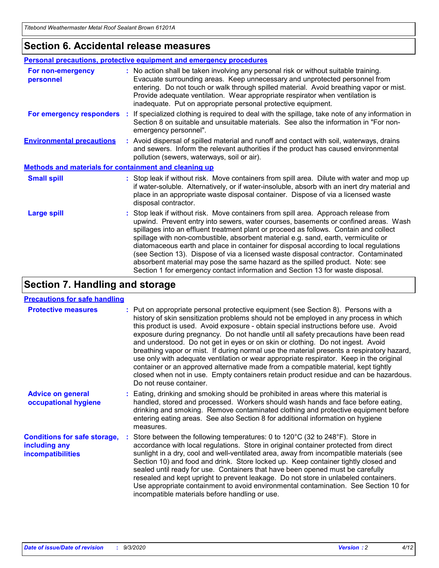### **Section 6. Accidental release measures**

|                                                              | Personal precautions, protective equipment and emergency procedures                                                                                                                                                                                                                                                                                                                                                                                                                                                                                                                                                                                                                                          |  |  |  |  |  |
|--------------------------------------------------------------|--------------------------------------------------------------------------------------------------------------------------------------------------------------------------------------------------------------------------------------------------------------------------------------------------------------------------------------------------------------------------------------------------------------------------------------------------------------------------------------------------------------------------------------------------------------------------------------------------------------------------------------------------------------------------------------------------------------|--|--|--|--|--|
| For non-emergency<br>personnel                               | : No action shall be taken involving any personal risk or without suitable training.<br>Evacuate surrounding areas. Keep unnecessary and unprotected personnel from<br>entering. Do not touch or walk through spilled material. Avoid breathing vapor or mist.<br>Provide adequate ventilation. Wear appropriate respirator when ventilation is<br>inadequate. Put on appropriate personal protective equipment.                                                                                                                                                                                                                                                                                             |  |  |  |  |  |
| For emergency responders                                     | : If specialized clothing is required to deal with the spillage, take note of any information in<br>Section 8 on suitable and unsuitable materials. See also the information in "For non-<br>emergency personnel".                                                                                                                                                                                                                                                                                                                                                                                                                                                                                           |  |  |  |  |  |
| <b>Environmental precautions</b>                             | : Avoid dispersal of spilled material and runoff and contact with soil, waterways, drains<br>and sewers. Inform the relevant authorities if the product has caused environmental<br>pollution (sewers, waterways, soil or air).                                                                                                                                                                                                                                                                                                                                                                                                                                                                              |  |  |  |  |  |
| <b>Methods and materials for containment and cleaning up</b> |                                                                                                                                                                                                                                                                                                                                                                                                                                                                                                                                                                                                                                                                                                              |  |  |  |  |  |
| <b>Small spill</b>                                           | : Stop leak if without risk. Move containers from spill area. Dilute with water and mop up<br>if water-soluble. Alternatively, or if water-insoluble, absorb with an inert dry material and<br>place in an appropriate waste disposal container. Dispose of via a licensed waste<br>disposal contractor.                                                                                                                                                                                                                                                                                                                                                                                                     |  |  |  |  |  |
| <b>Large spill</b>                                           | : Stop leak if without risk. Move containers from spill area. Approach release from<br>upwind. Prevent entry into sewers, water courses, basements or confined areas. Wash<br>spillages into an effluent treatment plant or proceed as follows. Contain and collect<br>spillage with non-combustible, absorbent material e.g. sand, earth, vermiculite or<br>diatomaceous earth and place in container for disposal according to local regulations<br>(see Section 13). Dispose of via a licensed waste disposal contractor. Contaminated<br>absorbent material may pose the same hazard as the spilled product. Note: see<br>Section 1 for emergency contact information and Section 13 for waste disposal. |  |  |  |  |  |

### **Section 7. Handling and storage**

#### **Precautions for safe handling**

| <b>Protective measures</b>                                                       | : Put on appropriate personal protective equipment (see Section 8). Persons with a<br>history of skin sensitization problems should not be employed in any process in which<br>this product is used. Avoid exposure - obtain special instructions before use. Avoid<br>exposure during pregnancy. Do not handle until all safety precautions have been read<br>and understood. Do not get in eyes or on skin or clothing. Do not ingest. Avoid<br>breathing vapor or mist. If during normal use the material presents a respiratory hazard,<br>use only with adequate ventilation or wear appropriate respirator. Keep in the original<br>container or an approved alternative made from a compatible material, kept tightly<br>closed when not in use. Empty containers retain product residue and can be hazardous.<br>Do not reuse container. |
|----------------------------------------------------------------------------------|--------------------------------------------------------------------------------------------------------------------------------------------------------------------------------------------------------------------------------------------------------------------------------------------------------------------------------------------------------------------------------------------------------------------------------------------------------------------------------------------------------------------------------------------------------------------------------------------------------------------------------------------------------------------------------------------------------------------------------------------------------------------------------------------------------------------------------------------------|
| <b>Advice on general</b><br>occupational hygiene                                 | : Eating, drinking and smoking should be prohibited in areas where this material is<br>handled, stored and processed. Workers should wash hands and face before eating,<br>drinking and smoking. Remove contaminated clothing and protective equipment before<br>entering eating areas. See also Section 8 for additional information on hygiene<br>measures.                                                                                                                                                                                                                                                                                                                                                                                                                                                                                    |
| <b>Conditions for safe storage,</b><br>including any<br><i>incompatibilities</i> | Store between the following temperatures: 0 to $120^{\circ}$ C (32 to $248^{\circ}$ F). Store in<br>accordance with local regulations. Store in original container protected from direct<br>sunlight in a dry, cool and well-ventilated area, away from incompatible materials (see<br>Section 10) and food and drink. Store locked up. Keep container tightly closed and<br>sealed until ready for use. Containers that have been opened must be carefully<br>resealed and kept upright to prevent leakage. Do not store in unlabeled containers.<br>Use appropriate containment to avoid environmental contamination. See Section 10 for<br>incompatible materials before handling or use.                                                                                                                                                     |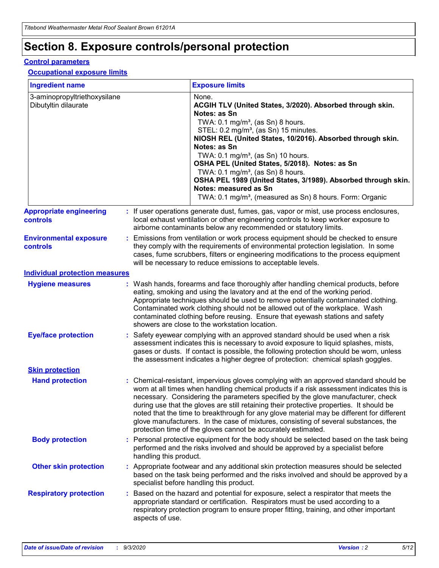# **Section 8. Exposure controls/personal protection**

#### **Control parameters**

#### **Occupational exposure limits**

| <b>Ingredient name</b>                               |    |                        | <b>Exposure limits</b>                                                                                                                                                                                                                                                                                                                                                                                                                                                                                                                                                                                                 |
|------------------------------------------------------|----|------------------------|------------------------------------------------------------------------------------------------------------------------------------------------------------------------------------------------------------------------------------------------------------------------------------------------------------------------------------------------------------------------------------------------------------------------------------------------------------------------------------------------------------------------------------------------------------------------------------------------------------------------|
| 3-aminopropyltriethoxysilane<br>Dibutyltin dilaurate |    |                        | None.<br>ACGIH TLV (United States, 3/2020). Absorbed through skin.<br>Notes: as Sn<br>TWA: $0.1 \text{ mg/m}^3$ , (as Sn) 8 hours.<br>STEL: 0.2 mg/m <sup>3</sup> , (as Sn) 15 minutes.<br>NIOSH REL (United States, 10/2016). Absorbed through skin.<br>Notes: as Sn<br>TWA: 0.1 mg/m <sup>3</sup> , (as Sn) 10 hours.<br>OSHA PEL (United States, 5/2018). Notes: as Sn<br>TWA: $0.1 \text{ mg/m}^3$ , (as Sn) 8 hours.<br>OSHA PEL 1989 (United States, 3/1989). Absorbed through skin.<br>Notes: measured as Sn<br>TWA: 0.1 mg/m <sup>3</sup> , (measured as Sn) 8 hours. Form: Organic                            |
| <b>Appropriate engineering</b><br>controls           |    |                        | : If user operations generate dust, fumes, gas, vapor or mist, use process enclosures,<br>local exhaust ventilation or other engineering controls to keep worker exposure to<br>airborne contaminants below any recommended or statutory limits.                                                                                                                                                                                                                                                                                                                                                                       |
| <b>Environmental exposure</b><br>controls            |    |                        | Emissions from ventilation or work process equipment should be checked to ensure<br>they comply with the requirements of environmental protection legislation. In some<br>cases, fume scrubbers, filters or engineering modifications to the process equipment<br>will be necessary to reduce emissions to acceptable levels.                                                                                                                                                                                                                                                                                          |
| <b>Individual protection measures</b>                |    |                        |                                                                                                                                                                                                                                                                                                                                                                                                                                                                                                                                                                                                                        |
| <b>Hygiene measures</b>                              |    |                        | : Wash hands, forearms and face thoroughly after handling chemical products, before<br>eating, smoking and using the lavatory and at the end of the working period.<br>Appropriate techniques should be used to remove potentially contaminated clothing.<br>Contaminated work clothing should not be allowed out of the workplace. Wash<br>contaminated clothing before reusing. Ensure that eyewash stations and safety<br>showers are close to the workstation location.                                                                                                                                            |
| <b>Eye/face protection</b>                           |    |                        | : Safety eyewear complying with an approved standard should be used when a risk<br>assessment indicates this is necessary to avoid exposure to liquid splashes, mists,<br>gases or dusts. If contact is possible, the following protection should be worn, unless<br>the assessment indicates a higher degree of protection: chemical splash goggles.                                                                                                                                                                                                                                                                  |
| <b>Skin protection</b>                               |    |                        |                                                                                                                                                                                                                                                                                                                                                                                                                                                                                                                                                                                                                        |
| <b>Hand protection</b>                               |    |                        | : Chemical-resistant, impervious gloves complying with an approved standard should be<br>worn at all times when handling chemical products if a risk assessment indicates this is<br>necessary. Considering the parameters specified by the glove manufacturer, check<br>during use that the gloves are still retaining their protective properties. It should be<br>noted that the time to breakthrough for any glove material may be different for different<br>glove manufacturers. In the case of mixtures, consisting of several substances, the<br>protection time of the gloves cannot be accurately estimated. |
| <b>Body protection</b>                               |    | handling this product. | Personal protective equipment for the body should be selected based on the task being<br>performed and the risks involved and should be approved by a specialist before                                                                                                                                                                                                                                                                                                                                                                                                                                                |
| <b>Other skin protection</b>                         |    |                        | : Appropriate footwear and any additional skin protection measures should be selected<br>based on the task being performed and the risks involved and should be approved by a<br>specialist before handling this product.                                                                                                                                                                                                                                                                                                                                                                                              |
| <b>Respiratory protection</b>                        | ÷. | aspects of use.        | Based on the hazard and potential for exposure, select a respirator that meets the<br>appropriate standard or certification. Respirators must be used according to a<br>respiratory protection program to ensure proper fitting, training, and other important                                                                                                                                                                                                                                                                                                                                                         |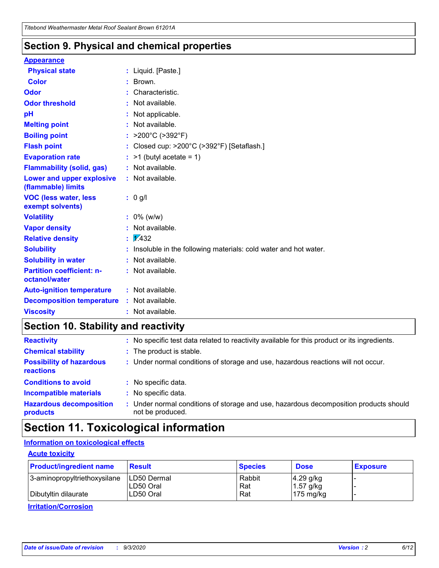### **Section 9. Physical and chemical properties**

#### **Appearance**

| <b>Physical state</b>                             |   | : Liquid. [Paste.]                                              |
|---------------------------------------------------|---|-----------------------------------------------------------------|
| <b>Color</b>                                      |   | Brown.                                                          |
| Odor                                              |   | Characteristic.                                                 |
| <b>Odor threshold</b>                             | ÷ | Not available.                                                  |
| рH                                                |   | Not applicable.                                                 |
| <b>Melting point</b>                              |   | : Not available.                                                |
| <b>Boiling point</b>                              |   | >200°C (>392°F)                                                 |
| <b>Flash point</b>                                |   | Closed cup: >200°C (>392°F) [Setaflash.]                        |
| <b>Evaporation rate</b>                           |   | $:$ >1 (butyl acetate = 1)                                      |
| <b>Flammability (solid, gas)</b>                  |   | : Not available.                                                |
| Lower and upper explosive<br>(flammable) limits   |   | : Not available.                                                |
| <b>VOC (less water, less)</b><br>exempt solvents) |   | : 0 g/l                                                         |
| <b>Volatility</b>                                 |   | $: 0\%$ (w/w)                                                   |
| <b>Vapor density</b>                              |   | Not available.                                                  |
| <b>Relative density</b>                           |   | $\mathbf{1}$ $\mathbf{\sqrt{432}}$                              |
| <b>Solubility</b>                                 |   | Insoluble in the following materials: cold water and hot water. |
| <b>Solubility in water</b>                        |   | Not available.                                                  |
| <b>Partition coefficient: n-</b><br>octanol/water |   | $:$ Not available.                                              |
| <b>Auto-ignition temperature</b>                  |   | : Not available.                                                |
| <b>Decomposition temperature</b>                  |   | : Not available.                                                |
| <b>Viscosity</b>                                  |   | $:$ Not available.                                              |

### **Section 10. Stability and reactivity**

| <b>Reactivity</b>                            |    | : No specific test data related to reactivity available for this product or its ingredients.            |
|----------------------------------------------|----|---------------------------------------------------------------------------------------------------------|
| <b>Chemical stability</b>                    |    | : The product is stable.                                                                                |
| <b>Possibility of hazardous</b><br>reactions |    | : Under normal conditions of storage and use, hazardous reactions will not occur.                       |
| <b>Conditions to avoid</b>                   |    | : No specific data.                                                                                     |
| <b>Incompatible materials</b>                | ٠. | No specific data.                                                                                       |
| <b>Hazardous decomposition</b><br>products   | ÷. | Under normal conditions of storage and use, hazardous decomposition products should<br>not be produced. |

### **Section 11. Toxicological information**

#### **Information on toxicological effects**

#### **Acute toxicity**

| <b>Product/ingredient name</b> | <b>Result</b>           | <b>Species</b> | <b>Dose</b>                | <b>Exposure</b> |
|--------------------------------|-------------------------|----------------|----------------------------|-----------------|
| 3-aminopropyltriethoxysilane   | <b>ILD50 Dermal</b>     | Rabbit         | 4.29 g/kg                  |                 |
| Dibutyltin dilaurate           | ILD50 Oral<br>LD50 Oral | Rat<br>Rat     | $1.57$ g/kg<br>175 $mg/kg$ |                 |
|                                |                         |                |                            |                 |

**Irritation/Corrosion**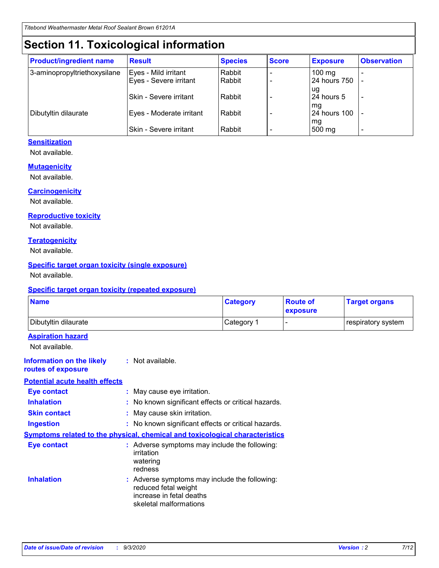# **Section 11. Toxicological information**

| <b>Product/ingredient name</b> | <b>Result</b>            | <b>Species</b> | <b>Score</b> | <b>Exposure</b>    | <b>Observation</b> |
|--------------------------------|--------------------------|----------------|--------------|--------------------|--------------------|
| 3-aminopropyltriethoxysilane   | Eyes - Mild irritant     | Rabbit         |              | $100 \text{ mg}$   |                    |
|                                | Eyes - Severe irritant   | Rabbit         |              | 24 hours 750       |                    |
|                                |                          |                |              | ug                 |                    |
|                                | Skin - Severe irritant   | Rabbit         |              | 24 hours 5         | -                  |
| Dibutyltin dilaurate           | Eyes - Moderate irritant | Rabbit         |              | mg<br>24 hours 100 |                    |
|                                |                          |                |              | mg                 |                    |
|                                | Skin - Severe irritant   | Rabbit         |              | 500 mg             | -                  |

#### **Sensitization**

Not available.

#### **Mutagenicity**

Not available.

#### **Carcinogenicity**

Not available.

#### **Reproductive toxicity**

Not available.

#### **Teratogenicity**

Not available.

#### **Specific target organ toxicity (single exposure)**

Not available.

#### **Specific target organ toxicity (repeated exposure)**

| <b>Name</b>                                                                  |                                                                            | <b>Category</b>                                     | <b>Route of</b><br>exposure  | <b>Target organs</b> |
|------------------------------------------------------------------------------|----------------------------------------------------------------------------|-----------------------------------------------------|------------------------------|----------------------|
| Dibutyltin dilaurate                                                         |                                                                            | Category 1                                          | $\qquad \qquad \blacksquare$ | respiratory system   |
| <b>Aspiration hazard</b><br>Not available.                                   |                                                                            |                                                     |                              |                      |
| <b>Information on the likely</b><br>routes of exposure                       | : Not available.                                                           |                                                     |                              |                      |
| <b>Potential acute health effects</b>                                        |                                                                            |                                                     |                              |                      |
| Eye contact                                                                  | : May cause eye irritation.                                                |                                                     |                              |                      |
| <b>Inhalation</b>                                                            |                                                                            | : No known significant effects or critical hazards. |                              |                      |
| <b>Skin contact</b>                                                          | : May cause skin irritation.                                               |                                                     |                              |                      |
| <b>Ingestion</b>                                                             |                                                                            | : No known significant effects or critical hazards. |                              |                      |
| Symptoms related to the physical, chemical and toxicological characteristics |                                                                            |                                                     |                              |                      |
| <b>Eye contact</b>                                                           | irritation<br>watering<br>redness                                          | : Adverse symptoms may include the following:       |                              |                      |
| <b>Inhalation</b>                                                            | reduced fetal weight<br>increase in fetal deaths<br>skeletal malformations | : Adverse symptoms may include the following:       |                              |                      |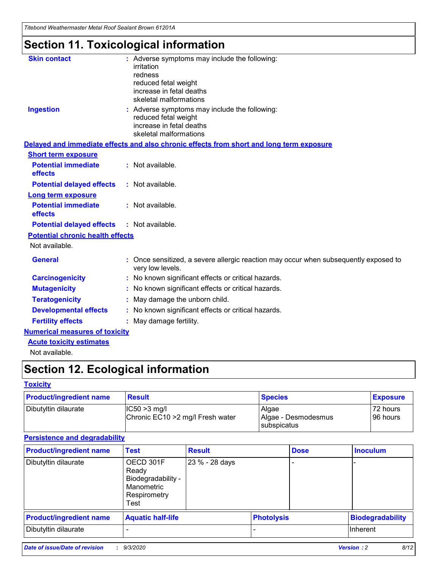*Titebond Weathermaster Metal Roof Sealant Brown 61201A*

# **Section 11. Toxicological information**

| <b>Skin contact</b>                     | : Adverse symptoms may include the following:<br>irritation                                            |
|-----------------------------------------|--------------------------------------------------------------------------------------------------------|
|                                         | redness                                                                                                |
|                                         | reduced fetal weight                                                                                   |
|                                         | increase in fetal deaths                                                                               |
|                                         | skeletal malformations                                                                                 |
| <b>Ingestion</b>                        | : Adverse symptoms may include the following:<br>reduced fetal weight                                  |
|                                         | increase in fetal deaths                                                                               |
|                                         | skeletal malformations                                                                                 |
|                                         | Delayed and immediate effects and also chronic effects from short and long term exposure               |
| <b>Short term exposure</b>              |                                                                                                        |
| <b>Potential immediate</b><br>effects   | : Not available.                                                                                       |
| <b>Potential delayed effects</b>        | : Not available.                                                                                       |
| <b>Long term exposure</b>               |                                                                                                        |
| <b>Potential immediate</b><br>effects   | : Not available.                                                                                       |
| <b>Potential delayed effects</b>        | : Not available.                                                                                       |
| <b>Potential chronic health effects</b> |                                                                                                        |
| Not available.                          |                                                                                                        |
| <b>General</b>                          | Once sensitized, a severe allergic reaction may occur when subsequently exposed to<br>very low levels. |
| <b>Carcinogenicity</b>                  | No known significant effects or critical hazards.                                                      |
| <b>Mutagenicity</b>                     | : No known significant effects or critical hazards.                                                    |
| <b>Teratogenicity</b>                   | May damage the unborn child.                                                                           |
| <b>Developmental effects</b>            | : No known significant effects or critical hazards.                                                    |
| <b>Fertility effects</b>                | : May damage fertility.                                                                                |
| <b>Numerical measures of toxicity</b>   |                                                                                                        |
| <b>Acute toxicity estimates</b>         |                                                                                                        |
| Not ovoilable                           |                                                                                                        |

Not available.

# **Section 12. Ecological information**

#### **Toxicity**

| <b>Product/ingredient name</b> | <b>Result</b>                                       | <b>Species</b>               | <b>Exposure</b>       |
|--------------------------------|-----------------------------------------------------|------------------------------|-----------------------|
| Dibutyltin dilaurate           | $ CC50>3$ mg/l<br>Chronic EC10 > 2 mg/l Fresh water | Algae<br>Algae - Desmodesmus | 72 hours<br>196 hours |
|                                |                                                     | <b>I</b> subspicatus         |                       |

#### **Persistence and degradability**

| <b>Product/ingredient name</b> | <b>Test</b>                                                                    | <b>Result</b>  |                   | <b>Dose</b> | <b>Inoculum</b>         |
|--------------------------------|--------------------------------------------------------------------------------|----------------|-------------------|-------------|-------------------------|
| Dibutyltin dilaurate           | OECD 301F<br>Ready<br>Biodegradability -<br>Manometric<br>Respirometry<br>Test | 23 % - 28 days |                   |             |                         |
| <b>Product/ingredient name</b> | <b>Aquatic half-life</b>                                                       |                | <b>Photolysis</b> |             | <b>Biodegradability</b> |
| Dibutyltin dilaurate           |                                                                                |                |                   |             | <b>Inherent</b>         |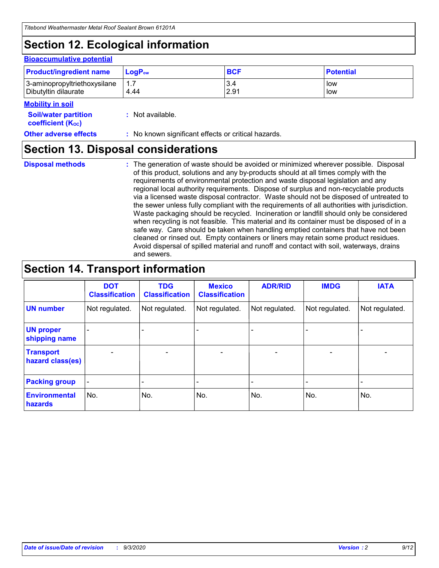# **Section 12. Ecological information**

#### **Bioaccumulative potential**

| <b>Product/ingredient name</b> | $\mathsf{LogP}_\mathsf{ow}$ | <b>BCF</b> | <b>Potential</b> |
|--------------------------------|-----------------------------|------------|------------------|
| 3-aminopropyltriethoxysilane   | 1.7                         | 3.4        | low              |
| Dibutyltin dilaurate           | 4.44                        | 2.91       | low              |

#### **Mobility in soil**

| <b>Soil/water partition</b> | : Not available. |
|-----------------------------|------------------|
| <b>coefficient (Koc)</b>    |                  |

| <b>Other adverse effects</b> | : No known significant effects or critical hazards. |
|------------------------------|-----------------------------------------------------|
|------------------------------|-----------------------------------------------------|

### **Section 13. Disposal considerations**

**Disposal methods :**

The generation of waste should be avoided or minimized wherever possible. Disposal of this product, solutions and any by-products should at all times comply with the requirements of environmental protection and waste disposal legislation and any regional local authority requirements. Dispose of surplus and non-recyclable products via a licensed waste disposal contractor. Waste should not be disposed of untreated to the sewer unless fully compliant with the requirements of all authorities with jurisdiction. Waste packaging should be recycled. Incineration or landfill should only be considered when recycling is not feasible. This material and its container must be disposed of in a safe way. Care should be taken when handling emptied containers that have not been cleaned or rinsed out. Empty containers or liners may retain some product residues. Avoid dispersal of spilled material and runoff and contact with soil, waterways, drains and sewers.

### **Section 14. Transport information**

|                                      | <b>DOT</b><br><b>Classification</b> | <b>TDG</b><br><b>Classification</b> | <b>Mexico</b><br><b>Classification</b> | <b>ADR/RID</b>           | <b>IMDG</b>              | <b>IATA</b>    |
|--------------------------------------|-------------------------------------|-------------------------------------|----------------------------------------|--------------------------|--------------------------|----------------|
| <b>UN number</b>                     | Not regulated.                      | Not regulated.                      | Not regulated.                         | Not regulated.           | Not regulated.           | Not regulated. |
| <b>UN proper</b><br>shipping name    |                                     |                                     |                                        |                          |                          |                |
| <b>Transport</b><br>hazard class(es) |                                     | $\overline{\phantom{0}}$            | $\qquad \qquad \blacksquare$           | $\overline{\phantom{0}}$ | $\overline{\phantom{0}}$ |                |
| <b>Packing group</b>                 |                                     |                                     |                                        |                          |                          |                |
| <b>Environmental</b><br>hazards      | No.                                 | No.                                 | No.                                    | No.                      | No.                      | No.            |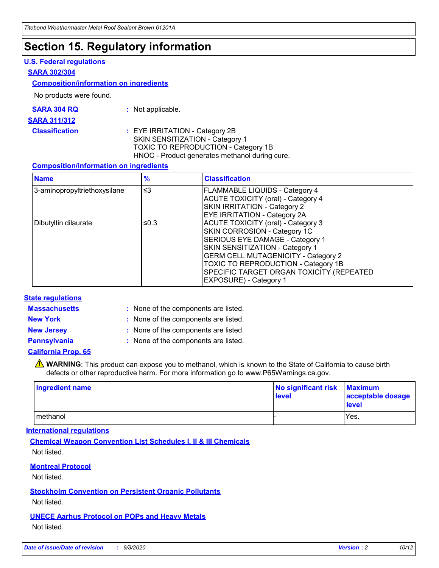### **Section 15. Regulatory information**

#### **U.S. Federal regulations**

#### **SARA 302/304**

#### **Composition/information on ingredients**

No products were found.

| SARA 304 RQ | Not applicable. |
|-------------|-----------------|
|             |                 |

#### **SARA 311/312**

#### **Classification :** EYE IRRITATION - Category 2B SKIN SENSITIZATION - Category 1 TOXIC TO REPRODUCTION - Category 1B HNOC - Product generates methanol during cure.

#### **Composition/information on ingredients**

| <b>Name</b>                  | $\frac{9}{6}$ | <b>Classification</b>                                                                                                                                                                                                                                                                                      |
|------------------------------|---------------|------------------------------------------------------------------------------------------------------------------------------------------------------------------------------------------------------------------------------------------------------------------------------------------------------------|
| 3-aminopropyltriethoxysilane | $\leq$ 3      | <b>FLAMMABLE LIQUIDS - Category 4</b><br><b>ACUTE TOXICITY (oral) - Category 4</b><br><b>SKIN IRRITATION - Category 2</b><br>EYE IRRITATION - Category 2A                                                                                                                                                  |
| Dibutyltin dilaurate         | ≤0.3          | <b>ACUTE TOXICITY (oral) - Category 3</b><br>SKIN CORROSION - Category 1C<br>SERIOUS EYE DAMAGE - Category 1<br>SKIN SENSITIZATION - Category 1<br><b>GERM CELL MUTAGENICITY - Category 2</b><br>TOXIC TO REPRODUCTION - Category 1B<br>SPECIFIC TARGET ORGAN TOXICITY (REPEATED<br>EXPOSURE) - Category 1 |

#### **State regulations**

**Massachusetts :**

: None of the components are listed.

**New York :** None of the components are listed. **New Jersey :** None of the components are listed.

**Pennsylvania :** None of the components are listed.

#### **California Prop. 65**

WARNING: This product can expose you to methanol, which is known to the State of California to cause birth defects or other reproductive harm. For more information go to www.P65Warnings.ca.gov.

| Ingredient name | No significant risk Maximum<br>level | acceptable dosage<br><b>level</b> |
|-----------------|--------------------------------------|-----------------------------------|
| I methanol      |                                      | Yes.                              |

#### **International regulations**

**Chemical Weapon Convention List Schedules I, II & III Chemicals** Not listed.

#### **Montreal Protocol**

Not listed.

**Stockholm Convention on Persistent Organic Pollutants**

Not listed.

#### **UNECE Aarhus Protocol on POPs and Heavy Metals** Not listed.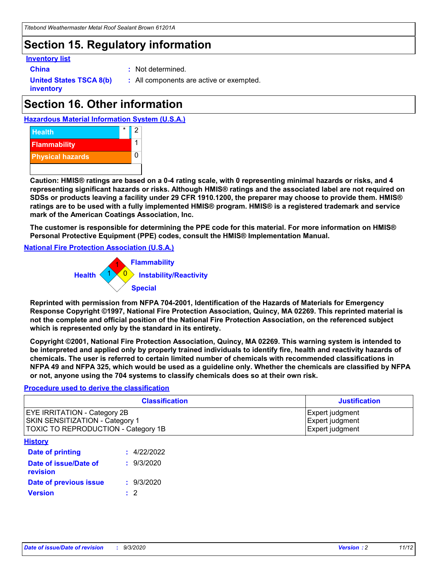### **Section 15. Regulatory information**

#### **Inventory list**

- 
- **China :** Not determined.

**United States TSCA 8(b) inventory**

**:** All components are active or exempted.

# **Section 16. Other information**





**Caution: HMIS® ratings are based on a 0-4 rating scale, with 0 representing minimal hazards or risks, and 4 representing significant hazards or risks. Although HMIS® ratings and the associated label are not required on SDSs or products leaving a facility under 29 CFR 1910.1200, the preparer may choose to provide them. HMIS® ratings are to be used with a fully implemented HMIS® program. HMIS® is a registered trademark and service mark of the American Coatings Association, Inc.**

**The customer is responsible for determining the PPE code for this material. For more information on HMIS® Personal Protective Equipment (PPE) codes, consult the HMIS® Implementation Manual.**

**National Fire Protection Association (U.S.A.)**



**Reprinted with permission from NFPA 704-2001, Identification of the Hazards of Materials for Emergency Response Copyright ©1997, National Fire Protection Association, Quincy, MA 02269. This reprinted material is not the complete and official position of the National Fire Protection Association, on the referenced subject which is represented only by the standard in its entirety.**

**Copyright ©2001, National Fire Protection Association, Quincy, MA 02269. This warning system is intended to be interpreted and applied only by properly trained individuals to identify fire, health and reactivity hazards of chemicals. The user is referred to certain limited number of chemicals with recommended classifications in NFPA 49 and NFPA 325, which would be used as a guideline only. Whether the chemicals are classified by NFPA or not, anyone using the 704 systems to classify chemicals does so at their own risk.**

#### **Procedure used to derive the classification**

| <b>Classification</b>                                                                                         | <b>Justification</b>                                  |
|---------------------------------------------------------------------------------------------------------------|-------------------------------------------------------|
| <b>EYE IRRITATION - Category 2B</b><br>SKIN SENSITIZATION - Category 1<br>TOXIC TO REPRODUCTION - Category 1B | Expert judgment<br>Expert judgment<br>Expert judgment |
| <b>History</b>                                                                                                |                                                       |

| .                                 |             |
|-----------------------------------|-------------|
| <b>Date of printing</b>           | : 4/22/2022 |
| Date of issue/Date of<br>revision | : 9/3/2020  |
| Date of previous issue            | : 9/3/2020  |
| <b>Version</b>                    | $\cdot$ 2   |
|                                   |             |